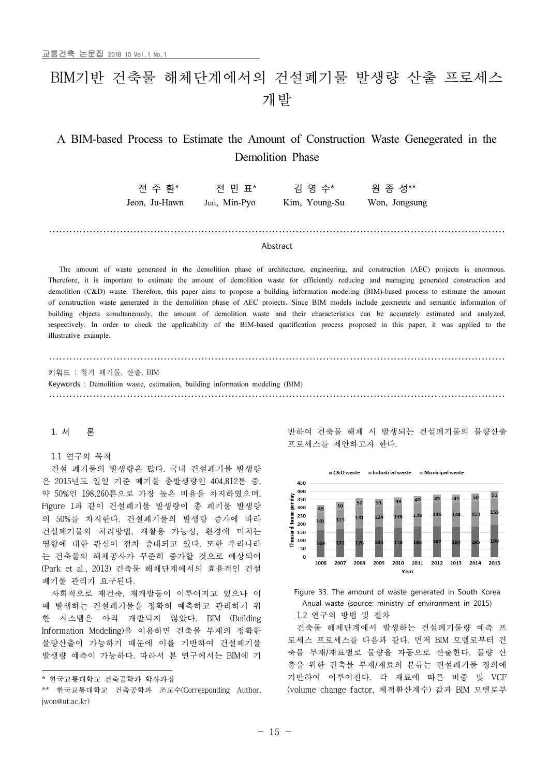# BIM기반 건축물 해체단계에서의 건설폐기물 발생량 산출 프로세스 개발

# A BIM-based Process to Estimate the Amount of Construction Waste Genegerated in the Demolition Phase

전 주 환\* 전 민 표\* 김 영 수\* 원 종 성\*\* Jeon, Ju-Hawn Jun, Min-Pyo Kim, Young-Su Won, Jongsung Jeon, Ju-Hawn Jun, Min-Pyo Kim, Young-Su Won, Jongsung

# Abstract

 The amount of waste generated in the demolition phase of architecture, engineering, and construction (AEC) projects is enormous. Therefore, it is important to estimate the amount of demolition waste for efficiently reducing and managing generated construction and demolition (C&D) waste. Therefore, this paper aims to propose a building information modeling (BIM)-based process to estimate the amount of construction waste generated in the demolition phase of AEC projects. Since BIM models include geometric and semantic information of building objects simultaneously, the amount of demolition waste and their characteristics can be accurately estimated and analyzed, respectively. In order to check the applicability of the BIM-based quatification process proposed in this paper, it was applied to the<br>illustrative example illustrative example.

키워드 : 철거 폐기물, 산출, BIM Keywords : Demolition waste, estimation, building information modeling (BIM) 

# 1. 서 론

# 1.1 연구의 목적

건설 폐기물의 발생량은 많다. 국내 건설폐기물 발생량 은 2015년도 일일 기준 폐기물 총발생량인 404,812톤 중, 약 50%인 198,260톤으로 가장 높은 비율을 차지하였으며, Figure 1과 같이 건설폐기물 발생량이 총 폐기물 발생량 의 50%를 차지한다. 건설폐기물의 발생량 증가에 따라 건설폐기물의 처리방법, 재활용 가능성, 환경에 미치는 영향에 대한 관심이 점차 증대되고 있다. 또한 우리나라 는 건축물의 해체공사가 꾸준히 증가할 것으로 예상되어 (Park et al., 2013) 건축물 해체단계에서의 효율적인 건설 폐기물 관리가 요구된다.

사회적으로 재건축, 재개발등이 이루어지고 있으나 이 때 발생하는 건설폐기물을 정확히 예측하고 관리하기 위 한 시스템은 아직 개발되지 않았다. BIM (Building Information Modeling)을 이용하면 건축물 부재의 정확한 물량산출이 가능하기 때문에 이를 기반하여 건설폐기물 발생량 예측이 가능하다. 따라서 본 연구에서는 BIM에 기 반하여 건축물 해체 시 발생되는 건설폐기물의 물량산출 프로세스를 제안하고자 한다.





1.2 연구의 방법 및 절차

건축물 해체단계에서 발생하는 건설폐기물량 예측 프 로세스 프로세스를 다음과 같다. 먼저 BIM 모델로부터 건 축물 부재/재료별로 물량을 자동으로 산출한다. 물량 산 출을 위한 건축물 부재/재료의 분류는 건설폐기물 정의에 기반하여 이루어진다. 각 재료에 따른 비중 및 VCF (volume change factor, 체적환산계수) 값과 BIM 모델로부

<sup>\*</sup> 한국교통대학교 건축공학과 학사과정

<sup>\*\*</sup> 한국교통대학교 건축공학과 조교수(Corresponding Author, jwon@ut.ac.kr)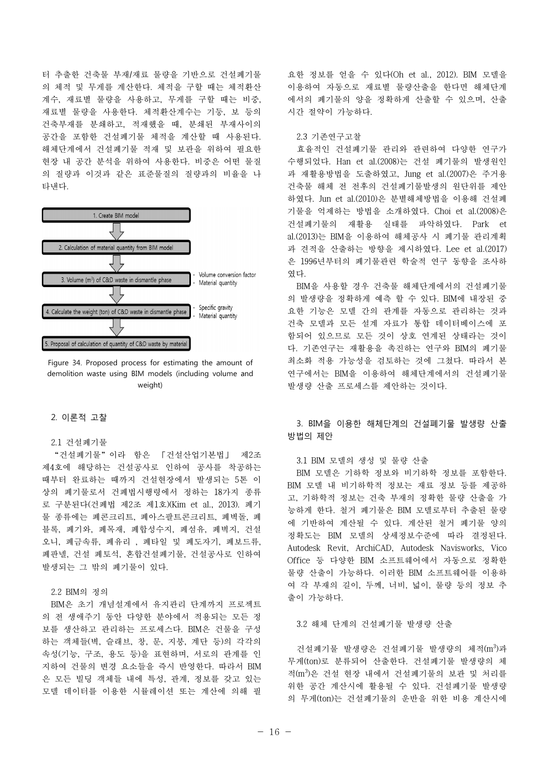터 추출한 건축물 부재/재료 물량을 기반으로 건설폐기물 의 체적 및 무게를 계산한다. 체적을 구할 때는 체적환산 계수, 재료별 물량을 사용하고, 무게를 구할 때는 비중, 재료별 물량을 사용한다. 체적환산계수는 기둥, 보 등의 건축부재를 분쇄하고, 적재했을 때, 분쇄된 부재사이의 공간을 포함한 건설폐기물 체적을 계산할 때 사용된다. 해체단계에서 건설폐기물 적재 및 보관을 위하여 필요한 현장 내 공간 분석을 위하여 사용한다. 비중은 어떤 물질 의 질량과 이것과 같은 표준물질의 질량과의 비율을 나 타낸다.



Figure 34. Proposed process for estimating the amount of demolition waste using BIM models (including volume and weight)

# 2. 이론적 고찰

#### 2.1 건설폐기물

"건설폐기물"이라 함은 「건설산업기본법」 제2조 제4호에 해당하는 건설공사로 인하여 공사를 착공하는 때부터 완료하는 때까지 건설현장에서 발생되는 5톤 이 상의 폐기물로서 건폐법시행령에서 정하는 18가지 종류 로 구분된다(건폐법 제2조 제1호)(Kim et al., 2013). 폐기 물 종류에는 폐콘크리트, 폐아스팔트콘크리트, 폐벽돌, 폐 블록, 폐기와, 폐목재, 폐합성수지, 폐섬유, 폐벽지, 건설 오니, 폐금속류, 폐유리 , 폐타일 및 폐도자기, 폐보드류, 폐판넬, 건설 폐토석, 혼합건설폐기물, 건설공사로 인하여 발생되는 그 밖의 폐기물이 있다.

# 2.2 BIM의 정의

BIM은 초기 개념설계에서 유지관리 단계까지 프로젝트 의 전 생애주기 동안 다양한 분야에서 적용되는 모든 정 보를 생산하고 관리하는 프로세스다. BIM은 건물을 구성 하는 객체들(벽, 슬래브, 창, 문, 지붕, 계단 등)의 각각의 속성(기능, 구조, 용도 등)을 표현하며, 서로의 관계를 인 지하여 건물의 변경 요소들을 즉시 반영한다. 따라서 BIM 은 모든 빌딩 객체들 내에 특성, 관계, 정보를 갖고 있는 모델 데이터를 이용한 시뮬레이션 또는 계산에 의해 필

요한 정보를 얻을 수 있다(Oh et al., 2012). BIM 모델을 이용하여 자동으로 재료별 물량산출을 한다면 해체단계 에서의 폐기물의 양을 정확하게 산출할 수 있으며, 산출 시간 절약이 가능하다.

# 2.3 기존연구고찰

효율적인 건설폐기물 관리와 관련하여 다양한 연구가 수행되었다. Han et al.(2008)는 건설 폐기물의 발생원인 과 재활용방법을 도출하였고, Jung et al.(2007)은 주거용 건축물 해체 전 전후의 건설폐기물발생의 원단위를 제안 하였다. Jun et al.(2010)은 분별해체방법을 이용해 건설폐 기물을 억제하는 방법을 소개하였다. Choi et al.(2008)은 건설폐기물의 재활용 실태를 파악하였다. Park et al.(2013)는 BIM을 이용하여 해체공사 시 폐기물 관리계획 과 견적을 산출하는 방향을 제시하였다. Lee et al.(2017) 은 1996년부터의 폐기물관련 학술적 연구 동향을 조사하 였다.

BIM을 사용할 경우 건축물 해체단계에서의 건설폐기물 의 발생량을 정확하게 예측 할 수 있다. BIM에 내장된 중 요한 기능은 모델 간의 관계를 자동으로 관리하는 것과 건축 모델과 모든 설계 자료가 통합 데이터베이스에 포 함되어 있으므로 모든 것이 상호 연계된 상태라는 것이 다. 기존연구는 재활용을 촉진하는 연구와 BIM의 폐기물 최소화 적용 가능성을 검토하는 것에 그쳤다. 따라서 본 연구에서는 BIM을 이용하여 해체단계에서의 건설폐기물 발생량 산출 프로세스를 제안하는 것이다.

# 3. BIM을 이용한 해체단계의 건설폐기물 발생량 산출 방법의 제안

# 3.1 BIM 모델의 생성 및 물량 산출

BIM 모델은 기하학 정보와 비기하학 정보를 포함한다. BIM 모델 내 비기하학적 정보는 재료 정보 등를 제공하 고, 기하학적 정보는 건축 부재의 정확한 물량 산출을 가 능하게 한다. 철거 폐기물은 BIM 모델로부터 추출된 물량 에 기반하여 계산될 수 있다. 계산된 철거 폐기물 양의 정확도는 BIM 모델의 상세정보수준에 따라 결정된다. Autodesk Revit, ArchiCAD, Autodesk Navisworks, Vico Office 등 다양한 BIM 소프트웨어에서 자동으로 정확한 물량 산출이 가능하다. 이러한 BIM 소프트웨어를 이용하 여 각 부재의 길이, 두께, 너비, 넓이, 물량 등의 정보 추 출이 가능하다.

# 3.2 해체 단계의 건설폐기물 발생량 산출

건설폐기물 발생량은 건설폐기물 발생량의 체적(m3)과 무게(ton)로 분류되어 산출한다. 건설폐기물 발생량의 체 적(m<sup>3</sup> )은 건설 현장 내에서 건설폐기물의 보관 및 처리를 위한 공간 계산시에 활용될 수 있다. 건설폐기물 발생량 의 무게(ton)는 건설폐기물의 운반을 위한 비용 계산시에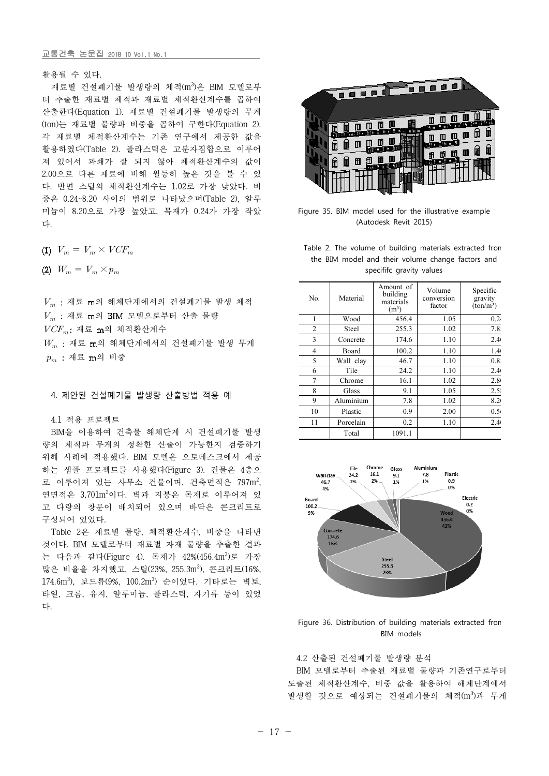# 교통건축 논문집 2018 10 Vol.1 No.1

활용될 수 있다.

재료별 건설폐기물 발생량의 체적(m3)은 BIM 모델로부 터 추출한 재료별 체적과 재료별 체적환산계수를 곱하여 산출한다(Equation 1). 재료별 건설폐기물 발생량의 무게 (ton)는 재료별 물량과 비중을 곱하여 구한다(Equation 2). 각 재료별 체적환산계수는 기존 연구에서 제공한 값을 활용하였다(Table 2). 플라스틱은 고분자집합으로 이루어 져 있어서 파쇄가 잘 되지 않아 체적환산계수의 값이 2.00으로 다른 재료에 비해 월등히 높은 것을 볼 수 있 다. 반면 스틸의 체적환산계수는 1.02로 가장 낮았다. 비 중은 0.24~8.20 사이의 범위로 나타났으며(Table 2), 알루 미늄이 8.20으로 가장 높았고, 목재가 0.24가 가장 작았 다.

$$
(1) V_m = V_m \times VCF_m
$$

(2)  $W_m = V_m \times p_m$ 

 $V_m$  : 재료 m의 해체단계에서의 건설폐기물 발생 체적  $V_m$  : 재료 m의 BIM 모델으로부터 산출 물량  $VCF_n$ : 재료 m의 체적환산계수  $W_m$  : 재료 m의 해체단계에서의 건설폐기물 발생 무게  $p_m$  : 재료 m의 비중

#### 4. 제안된 건설폐기물 발생량 산출방법 적용 예

# 4.1 적용 프로젝트

BIM을 이용하여 건축물 해체단계 시 건설폐기물 발생 량의 체적과 무게의 정확한 산출이 가능한지 검증하기 위해 사례에 적용했다. BIM 모델은 오토데스크에서 제공 하는 샘플 프로젝트를 사용했다(Figure 3). 건물은 4층으 로 이루어져 있는 사무소 건물이며, 건축면적은 797m<sup>2</sup>, 연면적은 3,701m<sup>2</sup>이다. 벽과 지붕은 목재로 이루어져 있 고 다량의 창문이 배치되어 있으며 바닥은 콘크리트로 구성되어 있었다.

Table 2은 재료별 물량, 체적환산계수, 비중을 나타낸 것이다. BIM 모델로부터 재료별 자재 물량을 추출한 결과 는 다음과 같다(Figure 4). 목재가 42%(456.4m3)로 가장 많은 비율을 차지했고, 스틸(23%, 255.3m<sup>3</sup>), 콘크리트(16%, 174.6m<sup>3</sup>), 보드류(9%, 100.2m<sup>3</sup>) 순이었다. 기타로는 벽토, 타일, 크롬, 유지, 알루미늄, 플라스틱, 자기류 등이 있었 다.



Figure 35. BIM model used for the illustrative example (Autodesk Revit 2015)

Table 2. The volume of building materials extracted from the BIM model and their volume change factors and specififc gravity values

| No.            | Material     | Amount of<br>building<br>materials<br>(m <sup>3</sup> ) | Volume<br>conversion<br>factor | Specific<br>gravity<br>$(ton/m^3)$ |
|----------------|--------------|---------------------------------------------------------|--------------------------------|------------------------------------|
| 1              | Wood         | 456.4                                                   | 1.05                           | 0.24                               |
| $\overline{2}$ | <b>Steel</b> | 255.3                                                   | 1.02                           | 7.8.                               |
| 3              | Concrete     | 174.6                                                   | 1.10                           | 2.4(                               |
| 4              | Board        | 100.2                                                   | 1.10                           | 1.4(                               |
| 5              | Wall clay    | 46.7                                                    | 1.10                           | 0.8                                |
| 6              | Tile         | 24.2                                                    | 1.10                           | 2.4(                               |
| $\overline{7}$ | Chrome       | 16.1                                                    | 1.02                           | 2.8(                               |
| 8              | Glass        | 9.1                                                     | 1.05                           | 2.5                                |
| 9              | Aluminium    | 7.8                                                     | 1.02                           | 8.2(                               |
| 10             | Plastic      | 0.9                                                     | 2.00                           | 0.5(                               |
| 11             | Porcelain    | 0.2                                                     | 1.10                           | 2.4(                               |
|                | Total        | 1091.1                                                  |                                |                                    |



Figure 36. Distribution of building materials extracted from BIM models

4.2 산출된 건설폐기물 발생량 분석

BIM 모델로부터 추출된 재료별 물량과 기존연구로부터 도출된 체적환산계수, 비중 값을 활용하여 해체단계에서 발생할 것으로 예상되는 건설폐기물의 체적(m3)과 무게